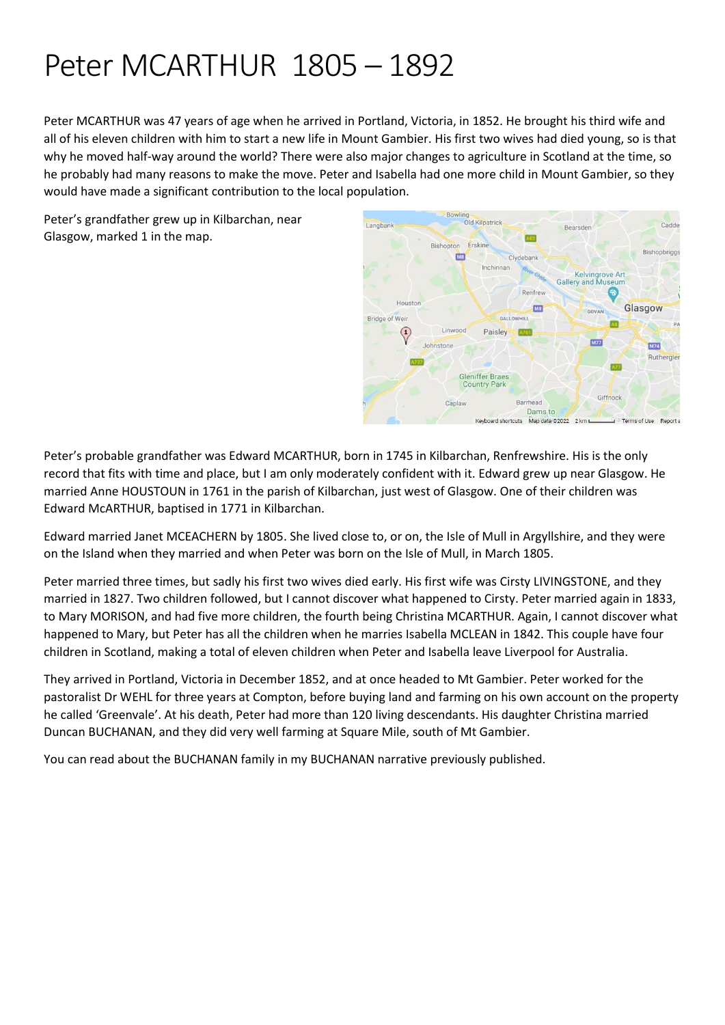# Peter MCARTHUR 1805 – 1892

Peter MCARTHUR was 47 years of age when he arrived in Portland, Victoria, in 1852. He brought his third wife and all of his eleven children with him to start a new life in Mount Gambier. His first two wives had died young, so is that why he moved half-way around the world? There were also major changes to agriculture in Scotland at the time, so he probably had many reasons to make the move. Peter and Isabella had one more child in Mount Gambier, so they would have made a significant contribution to the local population.

Peter's grandfather grew up in Kilbarchan, near Glasgow, marked 1 in the map.



Peter's probable grandfather was Edward MCARTHUR, born in 1745 in Kilbarchan, Renfrewshire. His is the only record that fits with time and place, but I am only moderately confident with it. Edward grew up near Glasgow. He married Anne HOUSTOUN in 1761 in the parish of Kilbarchan, just west of Glasgow. One of their children was Edward McARTHUR, baptised in 1771 in Kilbarchan.

Edward married Janet MCEACHERN by 1805. She lived close to, or on, the Isle of Mull in Argyllshire, and they were on the Island when they married and when Peter was born on the Isle of Mull, in March 1805.

Peter married three times, but sadly his first two wives died early. His first wife was Cirsty LIVINGSTONE, and they married in 1827. Two children followed, but I cannot discover what happened to Cirsty. Peter married again in 1833, to Mary MORISON, and had five more children, the fourth being Christina MCARTHUR. Again, I cannot discover what happened to Mary, but Peter has all the children when he marries Isabella MCLEAN in 1842. This couple have four children in Scotland, making a total of eleven children when Peter and Isabella leave Liverpool for Australia.

They arrived in Portland, Victoria in December 1852, and at once headed to Mt Gambier. Peter worked for the pastoralist Dr WEHL for three years at Compton, before buying land and farming on his own account on the property he called 'Greenvale'. At his death, Peter had more than 120 living descendants. His daughter Christina married Duncan BUCHANAN, and they did very well farming at Square Mile, south of Mt Gambier.

You can read about the BUCHANAN family in my BUCHANAN narrative previously published.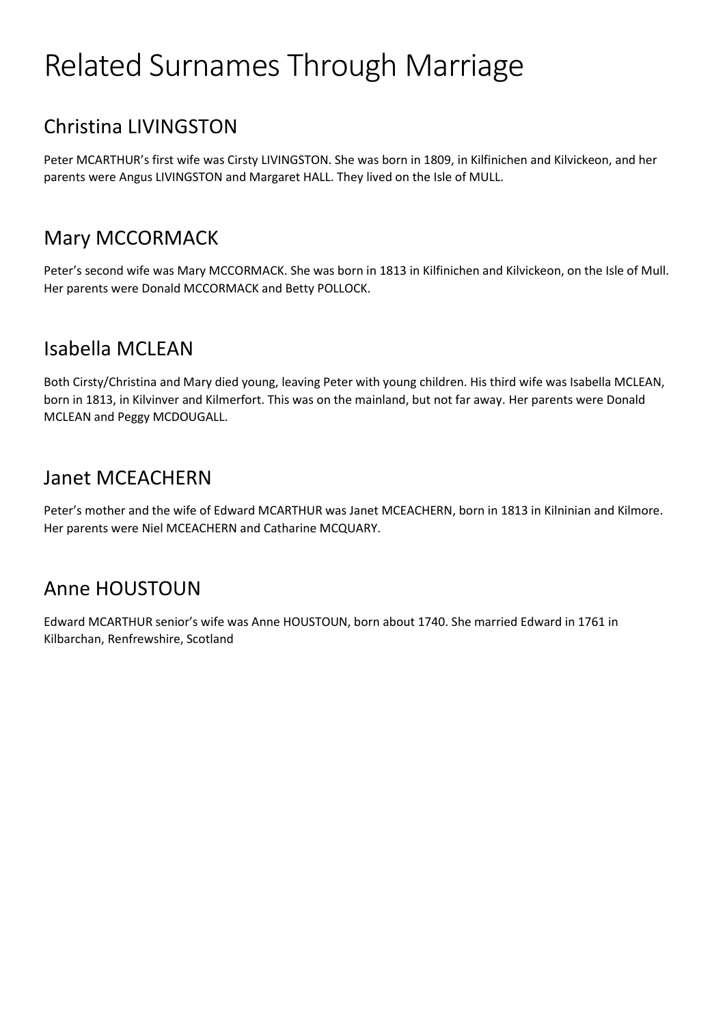# Related Surnames Through Marriage

## Christina LIVINGSTON

Peter MCARTHUR's first wife was Cirsty LIVINGSTON. She was born in 1809, in Kilfinichen and Kilvickeon, and her parents were Angus LIVINGSTON and Margaret HALL. They lived on the Isle of MULL.

## Mary MCCORMACK

Peter's second wife was Mary MCCORMACK. She was born in 1813 in Kilfinichen and Kilvickeon, on the Isle of Mull. Her parents were Donald MCCORMACK and Betty POLLOCK.

## Isabella MCLEAN

Both Cirsty/Christina and Mary died young, leaving Peter with young children. His third wife was Isabella MCLEAN, born in 1813, in Kilvinver and Kilmerfort. This was on the mainland, but not far away. Her parents were Donald MCLEAN and Peggy MCDOUGALL.

## Janet MCEACHERN

Peter's mother and the wife of Edward MCARTHUR was Janet MCEACHERN, born in 1813 in Kilninian and Kilmore. Her parents were Niel MCEACHERN and Catharine MCQUARY.

## Anne HOUSTOUN

Edward MCARTHUR senior's wife was Anne HOUSTOUN, born about 1740. She married Edward in 1761 in Kilbarchan, Renfrewshire, Scotland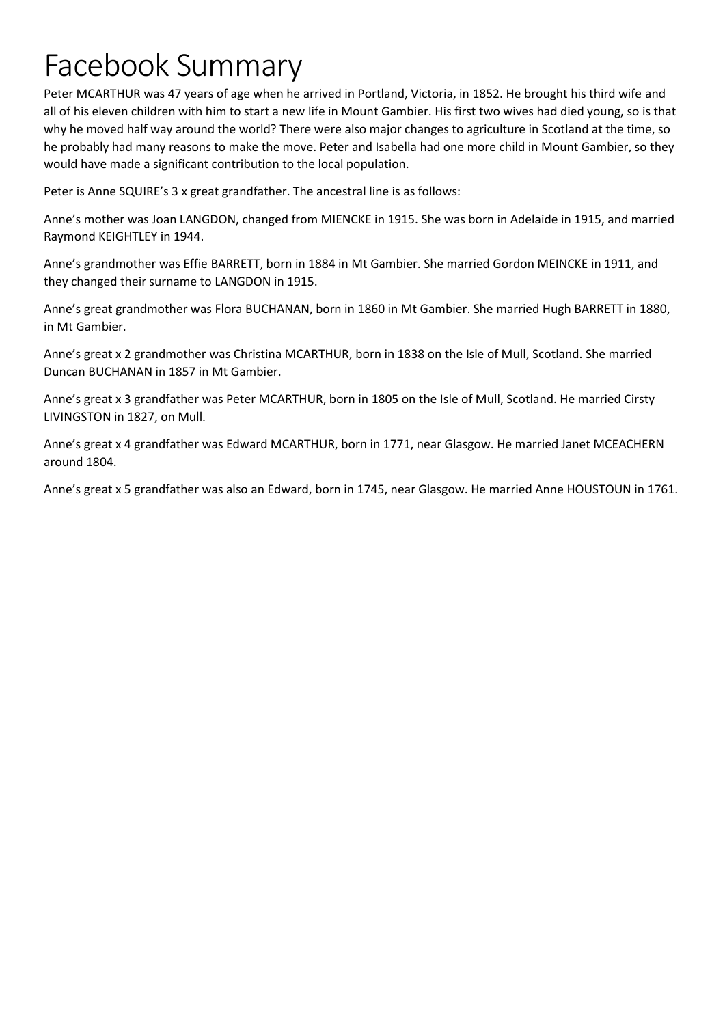# Facebook Summary

Peter MCARTHUR was 47 years of age when he arrived in Portland, Victoria, in 1852. He brought his third wife and all of his eleven children with him to start a new life in Mount Gambier. His first two wives had died young, so is that why he moved half way around the world? There were also major changes to agriculture in Scotland at the time, so he probably had many reasons to make the move. Peter and Isabella had one more child in Mount Gambier, so they would have made a significant contribution to the local population.

Peter is Anne SQUIRE's 3 x great grandfather. The ancestral line is as follows:

Anne's mother was Joan LANGDON, changed from MIENCKE in 1915. She was born in Adelaide in 1915, and married Raymond KEIGHTLEY in 1944.

Anne's grandmother was Effie BARRETT, born in 1884 in Mt Gambier. She married Gordon MEINCKE in 1911, and they changed their surname to LANGDON in 1915.

Anne's great grandmother was Flora BUCHANAN, born in 1860 in Mt Gambier. She married Hugh BARRETT in 1880, in Mt Gambier.

Anne's great x 2 grandmother was Christina MCARTHUR, born in 1838 on the Isle of Mull, Scotland. She married Duncan BUCHANAN in 1857 in Mt Gambier.

Anne's great x 3 grandfather was Peter MCARTHUR, born in 1805 on the Isle of Mull, Scotland. He married Cirsty LIVINGSTON in 1827, on Mull.

Anne's great x 4 grandfather was Edward MCARTHUR, born in 1771, near Glasgow. He married Janet MCEACHERN around 1804.

Anne's great x 5 grandfather was also an Edward, born in 1745, near Glasgow. He married Anne HOUSTOUN in 1761.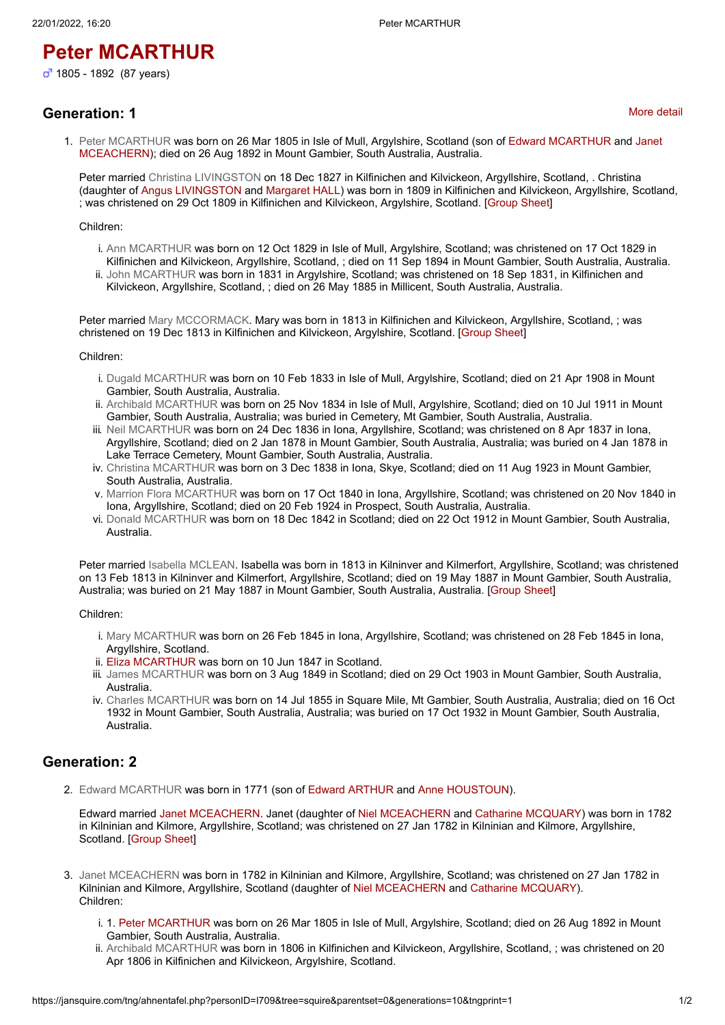## **Peter MCARTHUR**

### **Generation: 1**

1. [Peter MCARTHUR](https://jansquire.com/tng/getperson.php?personID=I709&tree=squire) was born on 26 Mar 1805 in Isle of Mull, Argylshire, Scotland (son of Edward MCARTHUR and Janet MCEACHERN); died on 26 Aug 1892 in Mount Gambier, South Australia, Australia.

Peter married [Christina LIVINGSTON](https://jansquire.com/tng/getperson.php?personID=I1384&tree=squire) on 18 Dec 1827 in Kilfinichen and Kilvickeon, Argyllshire, Scotland, . Christina (daughter of Angus LIVINGSTON and Margaret HALL) was born in 1809 in Kilfinichen and Kilvickeon, Argyllshire, Scotland, ; was christened on 29 Oct 1809 in Kilfinichen and Kilvickeon, Argylshire, Scotland. [\[Group Sheet](https://jansquire.com/tng/familygroup.php?familyID=F404&tree=squire)]

#### Children:

- i. [Ann MCARTHUR](https://jansquire.com/tng/getperson.php?personID=I1385&tree=squire) was born on 12 Oct 1829 in Isle of Mull, Argylshire, Scotland; was christened on 17 Oct 1829 in Kilfinichen and Kilvickeon, Argyllshire, Scotland, ; died on 11 Sep 1894 in Mount Gambier, South Australia, Australia.
- ii. [John MCARTHUR](https://jansquire.com/tng/getperson.php?personID=I1386&tree=squire) was born in 1831 in Argylshire, Scotland; was christened on 18 Sep 1831, in Kilfinichen and Kilvickeon, Argyllshire, Scotland, ; died on 26 May 1885 in Millicent, South Australia, Australia.

Peter married [Mary MCCORMACK.](https://jansquire.com/tng/getperson.php?personID=I710&tree=squire) Mary was born in 1813 in Kilfinichen and Kilvickeon, Argyllshire, Scotland, ; was christened on 19 Dec 1813 in Kilfinichen and Kilvickeon, Argylshire, Scotland. [[Group Sheet\]](https://jansquire.com/tng/familygroup.php?familyID=F231&tree=squire)

#### Children:

- i. [Dugald MCARTHUR](https://jansquire.com/tng/getperson.php?personID=I1381&tree=squire) was born on 10 Feb 1833 in Isle of Mull, Argylshire, Scotland; died on 21 Apr 1908 in Mount Gambier, South Australia, Australia.
- ii. [Archibald MCARTHUR](https://jansquire.com/tng/getperson.php?personID=I704&tree=squire) was born on 25 Nov 1834 in Isle of Mull, Argylshire, Scotland; died on 10 Jul 1911 in Mount Gambier, South Australia, Australia; was buried in Cemetery, Mt Gambier, South Australia, Australia.
- iii. [Neil MCARTHUR](https://jansquire.com/tng/getperson.php?personID=I1382&tree=squire) was born on 24 Dec 1836 in Iona, Argyllshire, Scotland; was christened on 8 Apr 1837 in Iona, Argyllshire, Scotland; died on 2 Jan 1878 in Mount Gambier, South Australia, Australia; was buried on 4 Jan 1878 in Lake Terrace Cemetery, Mount Gambier, South Australia, Australia.
- iv. [Christina MCARTHUR](https://jansquire.com/tng/getperson.php?personID=I681&tree=squire) was born on 3 Dec 1838 in Iona, Skye, Scotland; died on 11 Aug 1923 in Mount Gambier, South Australia, Australia.
- v. [Marrion Flora MCARTHUR](https://jansquire.com/tng/getperson.php?personID=I1383&tree=squire) was born on 17 Oct 1840 in Iona, Argyllshire, Scotland; was christened on 20 Nov 1840 in Iona, Argyllshire, Scotland; died on 20 Feb 1924 in Prospect, South Australia, Australia.
- vi. [Donald MCARTHUR](https://jansquire.com/tng/getperson.php?personID=I1391&tree=squire) was born on 18 Dec 1842 in Scotland; died on 22 Oct 1912 in Mount Gambier, South Australia, Australia.

Peter married [Isabella MCLEAN](https://jansquire.com/tng/getperson.php?personID=I1387&tree=squire). Isabella was born in 1813 in Kilninver and Kilmerfort, Argyllshire, Scotland; was christened on 13 Feb 1813 in Kilninver and Kilmerfort, Argyllshire, Scotland; died on 19 May 1887 in Mount Gambier, South Australia, Australia; was buried on 21 May 1887 in Mount Gambier, South Australia, Australia. [[Group Sheet\]](https://jansquire.com/tng/familygroup.php?familyID=F405&tree=squire)

Children:

- i. [Mary MCARTHUR](https://jansquire.com/tng/getperson.php?personID=I1392&tree=squire) was born on 26 Feb 1845 in Iona, Argyllshire, Scotland; was christened on 28 Feb 1845 in Iona, Argyllshire, Scotland.
- ii. [Eliza MCARTHUR](https://jansquire.com/tng/getperson.php?personID=I1388&tree=squire) was born on 10 Jun 1847 in Scotland.
- iii. [James MCARTHUR](https://jansquire.com/tng/getperson.php?personID=I1389&tree=squire) was born on 3 Aug 1849 in Scotland; died on 29 Oct 1903 in Mount Gambier, South Australia, Australia.
- iv. [Charles MCARTHUR](https://jansquire.com/tng/getperson.php?personID=I1390&tree=squire) was born on 14 Jul 1855 in Square Mile, Mt Gambier, South Australia, Australia; died on 16 Oct 1932 in Mount Gambier, South Australia, Australia; was buried on 17 Oct 1932 in Mount Gambier, South Australia, Australia.

#### **Generation: 2**

2. [Edward MCARTHUR](https://jansquire.com/tng/getperson.php?personID=I2769&tree=squire) was born in 1771 (son of Edward ARTHUR and Anne HOUSTOUN).

Edward married Janet MCEACHERN. Janet (daughter of Niel MCEACHERN and Catharine MCQUARY) was born in 1782 in Kilninian and Kilmore, Argyllshire, Scotland; was christened on 27 Jan 1782 in Kilninian and Kilmore, Argyllshire, Scotland. [[Group Sheet\]](https://jansquire.com/tng/familygroup.php?familyID=F827&tree=squire)

- 3. [Janet MCEACHERN](https://jansquire.com/tng/getperson.php?personID=I2770&tree=squire) was born in 1782 in Kilninian and Kilmore, Argyllshire, Scotland; was christened on 27 Jan 1782 in Kilninian and Kilmore, Argyllshire, Scotland (daughter of Niel MCEACHERN and Catharine MCQUARY). Children:
	- i. 1. Peter MCARTHUR was born on 26 Mar 1805 in Isle of Mull, Argylshire, Scotland; died on 26 Aug 1892 in Mount Gambier, South Australia, Australia.
	- ii. [Archibald MCARTHUR](https://jansquire.com/tng/getperson.php?personID=I4812&tree=squire) was born in 1806 in Kilfinichen and Kilvickeon, Argyllshire, Scotland, ; was christened on 20 Apr 1806 in Kilfinichen and Kilvickeon, Argylshire, Scotland.